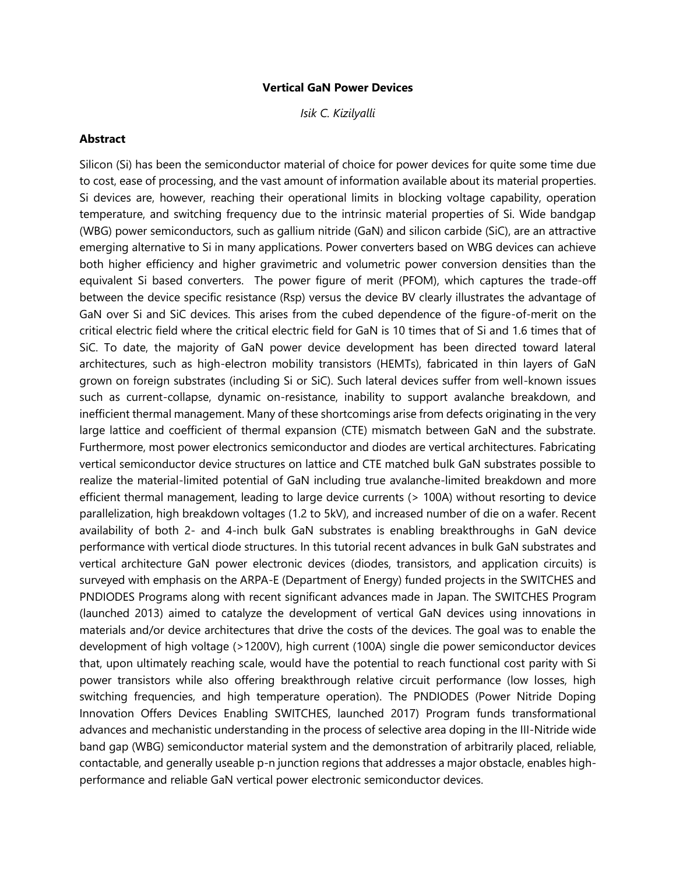## **Vertical GaN Power Devices**

*Isik C. Kizilyalli*

## **Abstract**

Silicon (Si) has been the semiconductor material of choice for power devices for quite some time due to cost, ease of processing, and the vast amount of information available about its material properties. Si devices are, however, reaching their operational limits in blocking voltage capability, operation temperature, and switching frequency due to the intrinsic material properties of Si. Wide bandgap (WBG) power semiconductors, such as gallium nitride (GaN) and silicon carbide (SiC), are an attractive emerging alternative to Si in many applications. Power converters based on WBG devices can achieve both higher efficiency and higher gravimetric and volumetric power conversion densities than the equivalent Si based converters. The power figure of merit (PFOM), which captures the trade-off between the device specific resistance (Rsp) versus the device BV clearly illustrates the advantage of GaN over Si and SiC devices. This arises from the cubed dependence of the figure-of-merit on the critical electric field where the critical electric field for GaN is 10 times that of Si and 1.6 times that of SiC. To date, the majority of GaN power device development has been directed toward lateral architectures, such as high-electron mobility transistors (HEMTs), fabricated in thin layers of GaN grown on foreign substrates (including Si or SiC). Such lateral devices suffer from well-known issues such as current-collapse, dynamic on-resistance, inability to support avalanche breakdown, and inefficient thermal management. Many of these shortcomings arise from defects originating in the very large lattice and coefficient of thermal expansion (CTE) mismatch between GaN and the substrate. Furthermore, most power electronics semiconductor and diodes are vertical architectures. Fabricating vertical semiconductor device structures on lattice and CTE matched bulk GaN substrates possible to realize the material-limited potential of GaN including true avalanche-limited breakdown and more efficient thermal management, leading to large device currents (> 100A) without resorting to device parallelization, high breakdown voltages (1.2 to 5kV), and increased number of die on a wafer. Recent availability of both 2- and 4-inch bulk GaN substrates is enabling breakthroughs in GaN device performance with vertical diode structures. In this tutorial recent advances in bulk GaN substrates and vertical architecture GaN power electronic devices (diodes, transistors, and application circuits) is surveyed with emphasis on the ARPA-E (Department of Energy) funded projects in the SWITCHES and PNDIODES Programs along with recent significant advances made in Japan. The SWITCHES Program (launched 2013) aimed to catalyze the development of vertical GaN devices using innovations in materials and/or device architectures that drive the costs of the devices. The goal was to enable the development of high voltage (>1200V), high current (100A) single die power semiconductor devices that, upon ultimately reaching scale, would have the potential to reach functional cost parity with Si power transistors while also offering breakthrough relative circuit performance (low losses, high switching frequencies, and high temperature operation). The PNDIODES (Power Nitride Doping Innovation Offers Devices Enabling SWITCHES, launched 2017) Program funds transformational advances and mechanistic understanding in the process of selective area doping in the III-Nitride wide band gap (WBG) semiconductor material system and the demonstration of arbitrarily placed, reliable, contactable, and generally useable p-n junction regions that addresses a major obstacle, enables highperformance and reliable GaN vertical power electronic semiconductor devices.